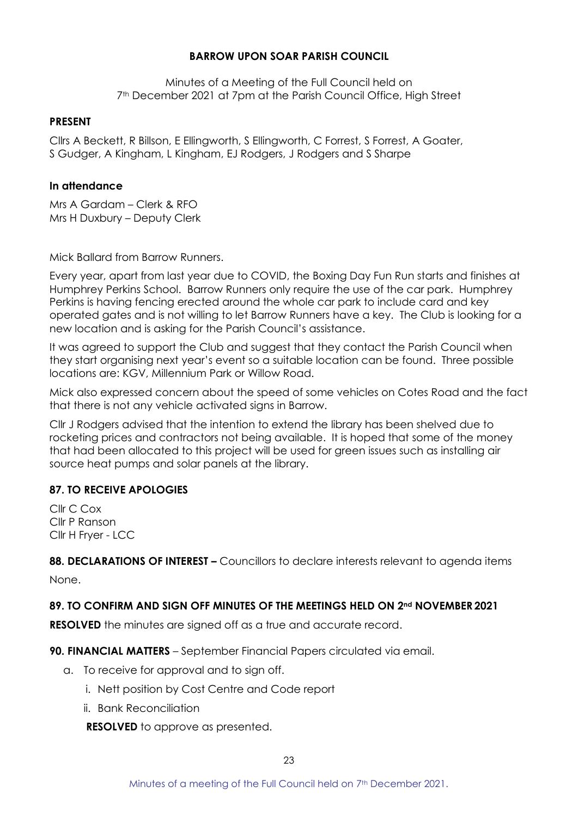# **BARROW UPON SOAR PARISH COUNCIL**

Minutes of a Meeting of the Full Council held on 7th December 2021 at 7pm at the Parish Council Office, High Street

#### **PRESENT**

Cllrs A Beckett, R Billson, E Ellingworth, S Ellingworth, C Forrest, S Forrest, A Goater, S Gudger, A Kingham, L Kingham, EJ Rodgers, J Rodgers and S Sharpe

## **In attendance**

Mrs A Gardam – Clerk & RFO Mrs H Duxbury – Deputy Clerk

Mick Ballard from Barrow Runners.

Every year, apart from last year due to COVID, the Boxing Day Fun Run starts and finishes at Humphrey Perkins School. Barrow Runners only require the use of the car park. Humphrey Perkins is having fencing erected around the whole car park to include card and key operated gates and is not willing to let Barrow Runners have a key. The Club is looking for a new location and is asking for the Parish Council's assistance.

It was agreed to support the Club and suggest that they contact the Parish Council when they start organising next year's event so a suitable location can be found. Three possible locations are: KGV, Millennium Park or Willow Road.

Mick also expressed concern about the speed of some vehicles on Cotes Road and the fact that there is not any vehicle activated signs in Barrow.

Cllr J Rodgers advised that the intention to extend the library has been shelved due to rocketing prices and contractors not being available. It is hoped that some of the money that had been allocated to this project will be used for green issues such as installing air source heat pumps and solar panels at the library.

# **87. TO RECEIVE APOLOGIES**

Cllr C Cox Cllr P Ranson Cllr H Fryer - LCC

**88. DECLARATIONS OF INTEREST –** Councillors to declare interests relevant to agenda items None.

### **89. TO CONFIRM AND SIGN OFF MINUTES OF THE MEETINGS HELD ON 2nd NOVEMBER 2021**

**RESOLVED** the minutes are signed off as a true and accurate record.

**90. FINANCIAL MATTERS** – September Financial Papers circulated via email.

- a. To receive for approval and to sign off.
	- i. Nett position by Cost Centre and Code report
	- ii. Bank Reconciliation

**RESOLVED** to approve as presented.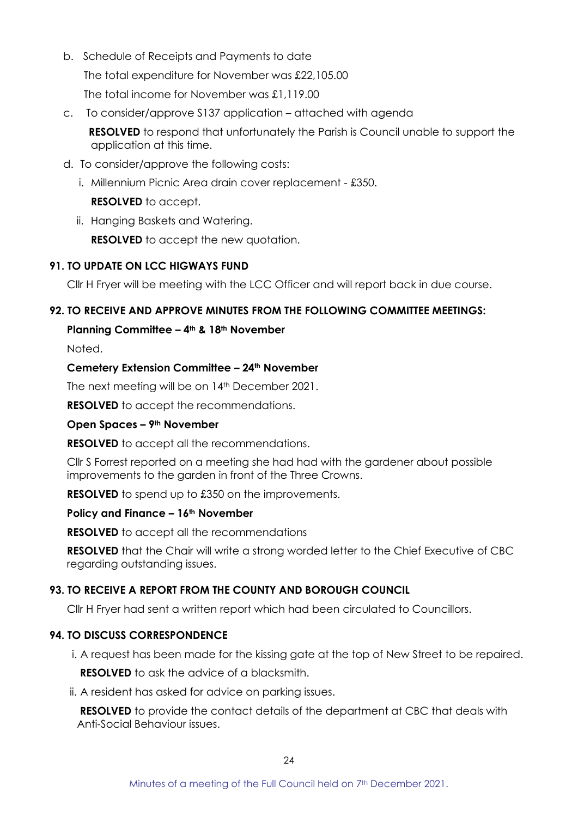b. Schedule of Receipts and Payments to date

The total expenditure for November was £22,105.00

The total income for November was £1,119.00

c. To consider/approve S137 application – attached with agenda

**RESOLVED** to respond that unfortunately the Parish is Council unable to support the application at this time.

- d. To consider/approve the following costs:
	- i. Millennium Picnic Area drain cover replacement £350.

**RESOLVED** to accept.

ii. Hanging Baskets and Watering.

**RESOLVED** to accept the new quotation.

# **91. TO UPDATE ON LCC HIGWAYS FUND**

Cllr H Fryer will be meeting with the LCC Officer and will report back in due course.

## **92. TO RECEIVE AND APPROVE MINUTES FROM THE FOLLOWING COMMITTEE MEETINGS:**

## **Planning Committee – 4th & 18th November**

Noted.

## **Cemetery Extension Committee – 24th November**

The next meeting will be on 14<sup>th</sup> December 2021.

**RESOLVED** to accept the recommendations.

### **Open Spaces – 9th November**

**RESOLVED** to accept all the recommendations.

Cllr S Forrest reported on a meeting she had had with the gardener about possible improvements to the garden in front of the Three Crowns.

**RESOLVED** to spend up to £350 on the improvements.

### **Policy and Finance – 16th November**

**RESOLVED** to accept all the recommendations

**RESOLVED** that the Chair will write a strong worded letter to the Chief Executive of CBC regarding outstanding issues.

# **93. TO RECEIVE A REPORT FROM THE COUNTY AND BOROUGH COUNCIL**

Cllr H Fryer had sent a written report which had been circulated to Councillors.

# **94. TO DISCUSS CORRESPONDENCE**

- i. A request has been made for the kissing gate at the top of New Street to be repaired. **RESOLVED** to ask the advice of a blacksmith.
- ii. A resident has asked for advice on parking issues.

**RESOLVED** to provide the contact details of the department at CBC that deals with Anti-Social Behaviour issues.